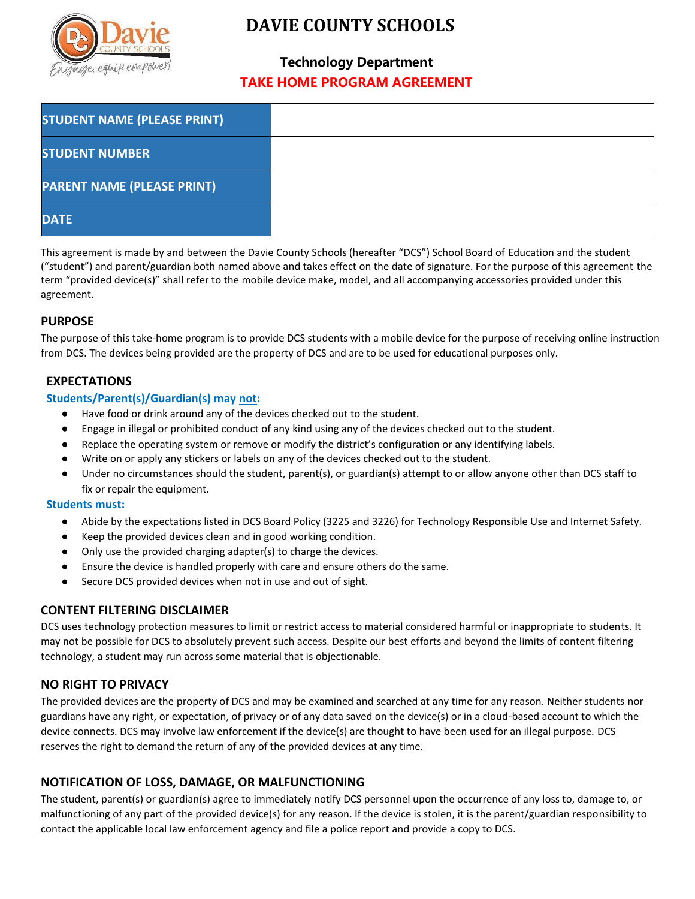

# **DAVIE COUNTY SCHOOLS**

# **Technology Department TAKE HOME PROGRAM AGREEMENT**

| <b>STUDENT NAME (PLEASE PRINT)</b> |  |
|------------------------------------|--|
| <b>STUDENT NUMBER</b>              |  |
| <b>PARENT NAME (PLEASE PRINT)</b>  |  |
| <b>DATE</b>                        |  |

This agreement is made by and between the Davie County Schools (hereafter "DCS") School Board of Education and the student ("student") and parent/guardian both named above and takes effect on the date of signature. For the purpose of this agreement the term "provided device(s)" shall refer to the mobile device make, model, and all accompanying accessories provided under this agreement.

# **PURPOSE**

The purpose of this take-home program is to provide DCS students with a mobile device for the purpose of receiving online instruction from DCS. The devices being provided are the property of DCS and are to be used for educational purposes only.

# **EXPECTATIONS**

#### **Students/Parent(s)/Guardian(s) may not:**

- Have food or drink around any of the devices checked out to the student.
- Engage in illegal or prohibited conduct of any kind using any of the devices checked out to the student.
- Replace the operating system or remove or modify the district's configuration or any identifying labels.
- Write on or apply any stickers or labels on any of the devices checked out to the student.
- Under no circumstances should the student, parent(s), or guardian(s) attempt to or allow anyone other than DCS staff to fix or repair the equipment.

#### **Students must:**

- Abide by the expectations listed in DCS Board Policy (3225 and 3226) for Technology Responsible Use and Internet Safety.
- Keep the provided devices clean and in good working condition.
- Only use the provided charging adapter(s) to charge the devices.
- Ensure the device is handled properly with care and ensure others do the same.
- Secure DCS provided devices when not in use and out of sight.

### **CONTENT FILTERING DISCLAIMER**

DCS uses technology protection measures to limit or restrict access to material considered harmful or inappropriate to students. It may not be possible for DCS to absolutely prevent such access. Despite our best efforts and beyond the limits of content filtering technology, a student may run across some material that is objectionable.

### **NO RIGHT TO PRIVACY**

The provided devices are the property of DCS and may be examined and searched at any time for any reason. Neither students nor guardians have any right, or expectation, of privacy or of any data saved on the device(s) or in a cloud-based account to which the device connects. DCS may involve law enforcement if the device(s) are thought to have been used for an illegal purpose. DCS reserves the right to demand the return of any of the provided devices at any time.

# **NOTIFICATION OF LOSS, DAMAGE, OR MALFUNCTIONING**

The student, parent(s) or guardian(s) agree to immediately notify DCS personnel upon the occurrence of any loss to, damage to, or malfunctioning of any part of the provided device(s) for any reason. If the device is stolen, it is the parent/guardian responsibility to contact the applicable local law enforcement agency and file a police report and provide a copy to DCS.